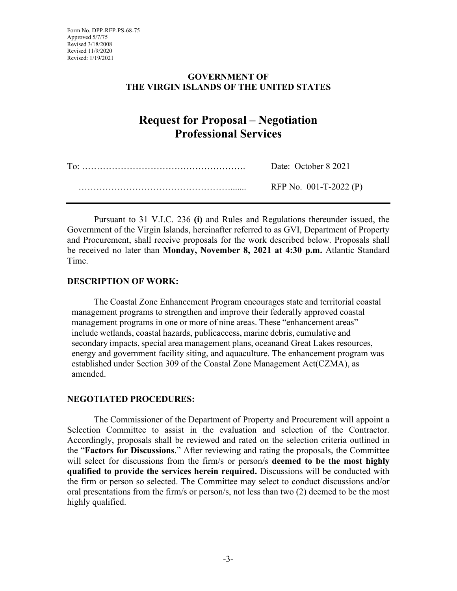## **GOVERNMENT OF THE VIRGIN ISLANDS OF THE UNITED STATES**

# **Request for Proposal – Negotiation Professional Services**

| Date: October 8 2021    |
|-------------------------|
| RFP No. $001-T-2022(P)$ |

Pursuant to 31 V.I.C. 236 **(i)** and Rules and Regulations thereunder issued, the Government of the Virgin Islands, hereinafter referred to as GVI, Department of Property and Procurement, shall receive proposals for the work described below. Proposals shall be received no later than **Monday, November 8, 2021 at 4:30 p.m.** Atlantic Standard Time.

## **DESCRIPTION OF WORK:**

The Coastal Zone Enhancement Program encourages state and territorial coastal management programs to strengthen and improve their federally approved coastal management programs in one or more of nine areas. These "enhancement areas" include wetlands, coastal hazards, publicaccess, marine debris, cumulative and secondary impacts, special area management plans, oceanand Great Lakes resources, energy and government facility siting, and aquaculture. The enhancement program was established under Section 309 of the Coastal Zone Management Act(CZMA), as amended.

#### **NEGOTIATED PROCEDURES:**

The Commissioner of the Department of Property and Procurement will appoint a Selection Committee to assist in the evaluation and selection of the Contractor. Accordingly, proposals shall be reviewed and rated on the selection criteria outlined in the "**Factors for Discussions**." After reviewing and rating the proposals, the Committee will select for discussions from the firm/s or person/s **deemed to be the most highly qualified to provide the services herein required.** Discussions will be conducted with the firm or person so selected. The Committee may select to conduct discussions and/or oral presentations from the firm/s or person/s, not less than two (2) deemed to be the most highly qualified.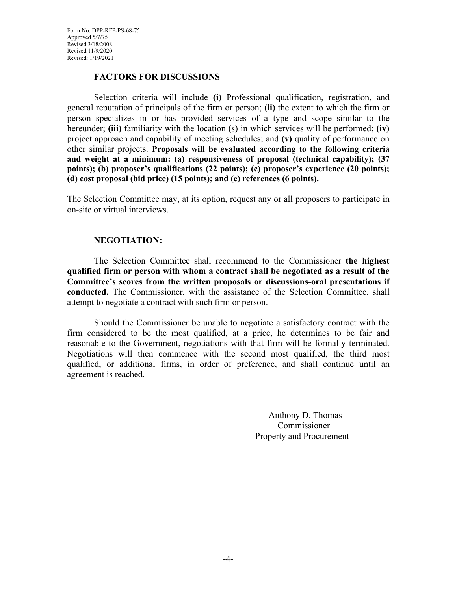Form No. DPP-RFP-PS-68-75 Approved 5/7/75 Revised 3/18/2008 Revised 11/9/2020 Revised: 1/19/2021

## **FACTORS FOR DISCUSSIONS**

Selection criteria will include **(i)** Professional qualification, registration, and general reputation of principals of the firm or person; **(ii)** the extent to which the firm or person specializes in or has provided services of a type and scope similar to the hereunder; **(iii)** familiarity with the location (s) in which services will be performed; **(iv)** project approach and capability of meeting schedules; and **(v)** quality of performance on other similar projects. **Proposals will be evaluated according to the following criteria and weight at a minimum: (a) responsiveness of proposal (technical capability); (37 points); (b) proposer's qualifications (22 points); (c) proposer's experience (20 points); (d) cost proposal (bid price) (15 points); and (e) references (6 points).**

The Selection Committee may, at its option, request any or all proposers to participate in on-site or virtual interviews.

## **NEGOTIATION:**

The Selection Committee shall recommend to the Commissioner **the highest qualified firm or person with whom a contract shall be negotiated as a result of the Committee's scores from the written proposals or discussions-oral presentations if conducted.** The Commissioner, with the assistance of the Selection Committee, shall attempt to negotiate a contract with such firm or person.

Should the Commissioner be unable to negotiate a satisfactory contract with the firm considered to be the most qualified, at a price, he determines to be fair and reasonable to the Government, negotiations with that firm will be formally terminated. Negotiations will then commence with the second most qualified, the third most qualified, or additional firms, in order of preference, and shall continue until an agreement is reached.

> Anthony D. Thomas Commissioner Property and Procurement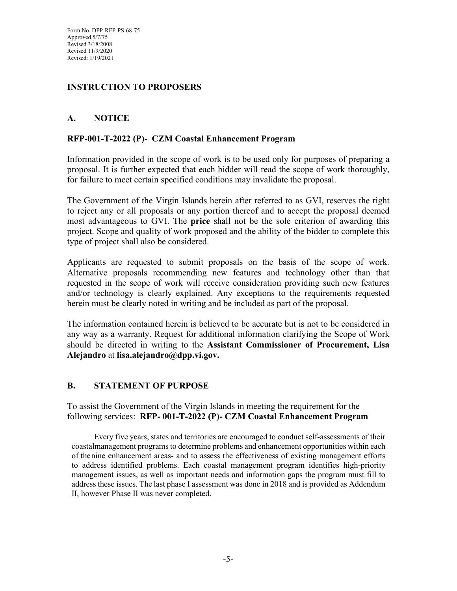Form No. DPP-RFP-PS-68-75 Approved 5/7/75 Revised 3/18/2008 Revised 11/9/2020 Revised: 1/19/2021

# **INSTRUCTION TO PROPOSERS**

# **A. NOTICE**

# **RFP-001-T-2022 (P)- CZM Coastal Enhancement Program**

Information provided in the scope of work is to be used only for purposes of preparing a proposal. It is further expected that each bidder will read the scope of work thoroughly, for failure to meet certain specified conditions may invalidate the proposal.

The Government of the Virgin Islands herein after referred to as GVI, reserves the right to reject any or all proposals or any portion thereof and to accept the proposal deemed most advantageous to GVI. The **price** shall not be the sole criterion of awarding this project. Scope and quality of work proposed and the ability of the bidder to complete this type of project shall also be considered.

Applicants are requested to submit proposals on the basis of the scope of work. Alternative proposals recommending new features and technology other than that requested in the scope of work will receive consideration providing such new features and/or technology is clearly explained. Any exceptions to the requirements requested herein must be clearly noted in writing and be included as part of the proposal.

The information contained herein is believed to be accurate but is not to be considered in any way as a warranty. Request for additional information clarifying the Scope of Work should be directed in writing to the **Assistant Commissioner of Procurement, Lisa Alejandro** at **lisa.alejandro@dpp.vi.gov.**

# **B. STATEMENT OF PURPOSE**

To assist the Government of the Virgin Islands in meeting the requirement for the following services: **RFP- 001-T-2022 (P)- CZM Coastal Enhancement Program**

Every five years, states and territories are encouraged to conduct self-assessments of their coastalmanagement programsto determine problems and enhancement opportunities within each of thenine enhancement areas- and to assess the effectiveness of existing management efforts to address identified problems. Each coastal management program identifies high-priority management issues, as well as important needs and information gaps the program must fill to address these issues. The last phase I assessment was done in 2018 and is provided as Addendum II, however Phase II was never completed.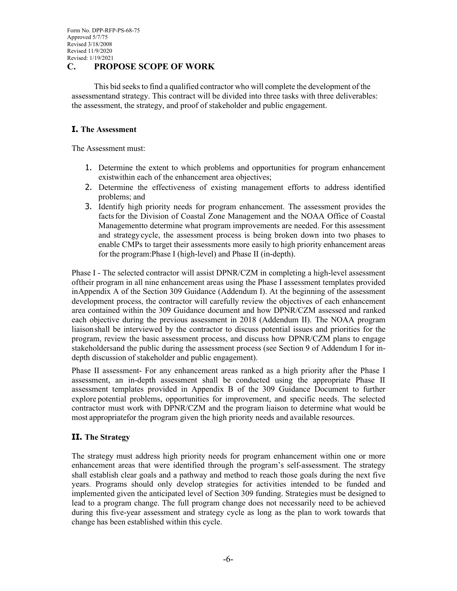### **C. PROPOSE SCOPE OF WORK**

This bid seeksto find a qualified contractor who will complete the development of the assessmentand strategy. This contract will be divided into three tasks with three deliverables: the assessment, the strategy, and proof of stakeholder and public engagement.

#### **I. The Assessment**

The Assessment must:

- 1. Determine the extent to which problems and opportunities for program enhancement existwithin each of the enhancement area objectives;
- 2. Determine the effectiveness of existing management efforts to address identified problems; and
- 3. Identify high priority needs for program enhancement. The assessment provides the factsfor the Division of Coastal Zone Management and the NOAA Office of Coastal Managementto determine what program improvements are needed. For this assessment and strategy cycle, the assessment process is being broken down into two phases to enable CMPs to target their assessments more easily to high priority enhancement areas for the program:Phase I (high-level) and Phase II (in-depth).

Phase I - The selected contractor will assist DPNR/CZM in completing a high-level assessment oftheir program in all nine enhancement areas using the Phase I assessment templates provided inAppendix A of the Section 309 Guidance (Addendum I). At the beginning of the assessment development process, the contractor will carefully review the objectives of each enhancement area contained within the 309 Guidance document and how DPNR/CZM assessed and ranked each objective during the previous assessment in 2018 (Addendum II). The NOAA program liaisonshall be interviewed by the contractor to discuss potential issues and priorities for the program, review the basic assessment process, and discuss how DPNR/CZM plans to engage stakeholdersand the public during the assessment process (see Section 9 of Addendum I for indepth discussion of stakeholder and public engagement).

Phase II assessment- For any enhancement areas ranked as a high priority after the Phase I assessment, an in-depth assessment shall be conducted using the appropriate Phase II assessment templates provided in Appendix B of the 309 Guidance Document to further explore potential problems, opportunities for improvement, and specific needs. The selected contractor must work with DPNR/CZM and the program liaison to determine what would be most appropriatefor the program given the high priority needs and available resources.

#### **II. The Strategy**

The strategy must address high priority needs for program enhancement within one or more enhancement areas that were identified through the program's self-assessment. The strategy shall establish clear goals and a pathway and method to reach those goals during the next five years. Programs should only develop strategies for activities intended to be funded and implemented given the anticipated level of Section 309 funding. Strategies must be designed to lead to a program change. The full program change does not necessarily need to be achieved during this five-year assessment and strategy cycle as long as the plan to work towards that change has been established within this cycle.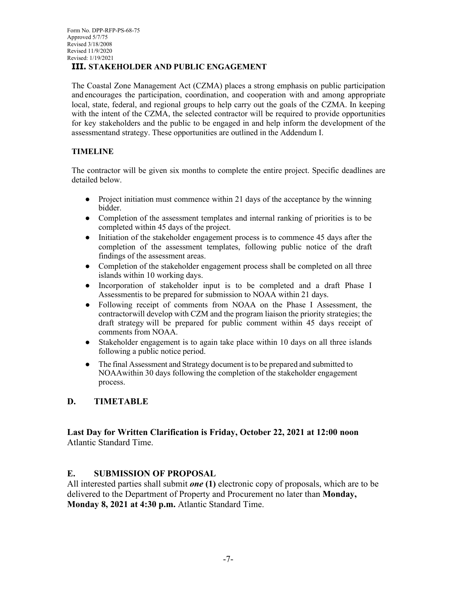#### **III. STAKEHOLDER AND PUBLIC ENGAGEMENT**

The Coastal Zone Management Act (CZMA) places a strong emphasis on public participation and encourages the participation, coordination, and cooperation with and among appropriate local, state, federal, and regional groups to help carry out the goals of the CZMA. In keeping with the intent of the CZMA, the selected contractor will be required to provide opportunities for key stakeholders and the public to be engaged in and help inform the development of the assessmentand strategy. These opportunities are outlined in the Addendum I.

#### **TIMELINE**

The contractor will be given six months to complete the entire project. Specific deadlines are detailed below.

- Project initiation must commence within 21 days of the acceptance by the winning bidder.
- Completion of the assessment templates and internal ranking of priorities is to be completed within 45 days of the project.
- Initiation of the stakeholder engagement process is to commence 45 days after the completion of the assessment templates, following public notice of the draft findings of the assessment areas.
- Completion of the stakeholder engagement process shall be completed on all three islands within 10 working days.
- Incorporation of stakeholder input is to be completed and a draft Phase I Assessmentis to be prepared for submission to NOAA within 21 days.
- Following receipt of comments from NOAA on the Phase I Assessment, the contractorwill develop with CZM and the program liaison the priority strategies; the draft strategy will be prepared for public comment within 45 days receipt of comments from NOAA.
- Stakeholder engagement is to again take place within 10 days on all three islands following a public notice period.
- The final Assessment and Strategy document is to be prepared and submitted to NOAAwithin 30 days following the completion of the stakeholder engagement process.

#### **D. TIMETABLE**

**Last Day for Written Clarification is Friday, October 22, 2021 at 12:00 noon**  Atlantic Standard Time.

#### **E. SUBMISSION OF PROPOSAL**

All interested parties shall submit *one* **(1)** electronic copy of proposals, which are to be delivered to the Department of Property and Procurement no later than **Monday, Monday 8, 2021 at 4:30 p.m.** Atlantic Standard Time.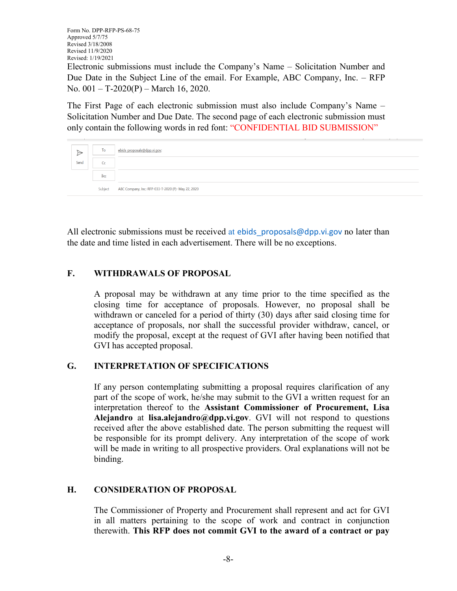Electronic submissions must include the Company's Name – Solicitation Number and Due Date in the Subject Line of the email. For Example, ABC Company, Inc. – RFP No. 001 – T-2020(P) – March 16, 2020.

The First Page of each electronic submission must also include Company's Name – Solicitation Number and Due Date. The second page of each electronic submission must only contain the following words in red font: "CONFIDENTIAL BID SUBMISSION"

|      | To         | ebids proposals@dpp.vi.gov;                                |
|------|------------|------------------------------------------------------------|
| Send | -Cc        |                                                            |
|      | <b>Bcc</b> |                                                            |
|      |            | Subject ABC Company, Inc.-RFP-033-T-2020 (P)- May 22, 2020 |

All electronic submissions must be received at [ebids\\_proposals@dpp.vi.gov](mailto:at%20ebids_proposals@dpp.vi.gov) no later than the date and time listed in each advertisement. There will be no exceptions.

# **F. WITHDRAWALS OF PROPOSAL**

A proposal may be withdrawn at any time prior to the time specified as the closing time for acceptance of proposals. However, no proposal shall be withdrawn or canceled for a period of thirty (30) days after said closing time for acceptance of proposals, nor shall the successful provider withdraw, cancel, or modify the proposal, except at the request of GVI after having been notified that GVI has accepted proposal.

# **G. INTERPRETATION OF SPECIFICATIONS**

If any person contemplating submitting a proposal requires clarification of any part of the scope of work, he/she may submit to the GVI a written request for an interpretation thereof to the **Assistant Commissioner of Procurement, Lisa Alejandro** at **lisa.alejandro@dpp.vi.gov**. GVI will not respond to questions received after the above established date. The person submitting the request will be responsible for its prompt delivery. Any interpretation of the scope of work will be made in writing to all prospective providers. Oral explanations will not be binding.

# **H. CONSIDERATION OF PROPOSAL**

The Commissioner of Property and Procurement shall represent and act for GVI in all matters pertaining to the scope of work and contract in conjunction therewith. **This RFP does not commit GVI to the award of a contract or pay**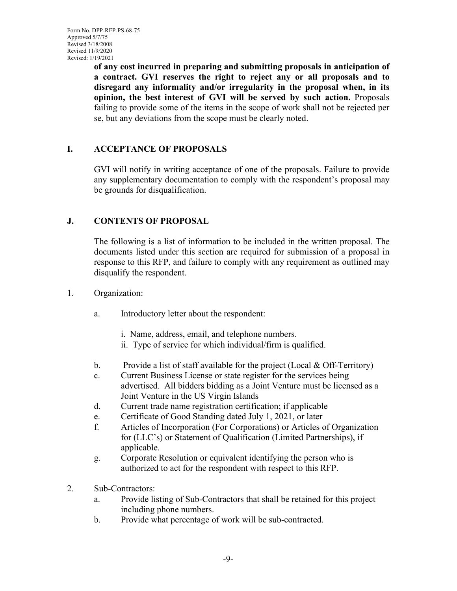**of any cost incurred in preparing and submitting proposals in anticipation of a contract. GVI reserves the right to reject any or all proposals and to disregard any informality and/or irregularity in the proposal when, in its opinion, the best interest of GVI will be served by such action.** Proposals failing to provide some of the items in the scope of work shall not be rejected per se, but any deviations from the scope must be clearly noted.

# **I. ACCEPTANCE OF PROPOSALS**

GVI will notify in writing acceptance of one of the proposals. Failure to provide any supplementary documentation to comply with the respondent's proposal may be grounds for disqualification.

## **J. CONTENTS OF PROPOSAL**

The following is a list of information to be included in the written proposal. The documents listed under this section are required for submission of a proposal in response to this RFP, and failure to comply with any requirement as outlined may disqualify the respondent.

- 1. Organization:
	- a. Introductory letter about the respondent:
		- i. Name, address, email, and telephone numbers.
		- ii. Type of service for which individual/firm is qualified.
	- b. Provide a list of staff available for the project (Local & Off-Territory)
	- c. Current Business License or state register for the services being advertised. All bidders bidding as a Joint Venture must be licensed as a Joint Venture in the US Virgin Islands
	- d. Current trade name registration certification; if applicable
	- e. Certificate of Good Standing dated July 1, 2021, or later
	- f. Articles of Incorporation (For Corporations) or Articles of Organization for (LLC's) or Statement of Qualification (Limited Partnerships), if applicable.
	- g. Corporate Resolution or equivalent identifying the person who is authorized to act for the respondent with respect to this RFP.
- 2. Sub-Contractors:
	- a. Provide listing of Sub-Contractors that shall be retained for this project including phone numbers.
	- b. Provide what percentage of work will be sub-contracted.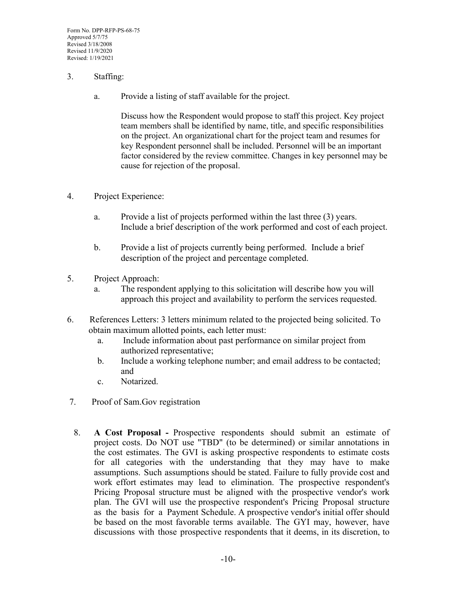Form No. DPP-RFP-PS-68-75 Approved 5/7/75 Revised 3/18/2008 Revised 11/9/2020 Revised: 1/19/2021

#### 3. Staffing:

a. Provide a listing of staff available for the project.

Discuss how the Respondent would propose to staff this project. Key project team members shall be identified by name, title, and specific responsibilities on the project. An organizational chart for the project team and resumes for key Respondent personnel shall be included. Personnel will be an important factor considered by the review committee. Changes in key personnel may be cause for rejection of the proposal.

- 4. Project Experience:
	- a. Provide a list of projects performed within the last three (3) years. Include a brief description of the work performed and cost of each project.
	- b. Provide a list of projects currently being performed. Include a brief description of the project and percentage completed.
- 5. Project Approach:
	- a. The respondent applying to this solicitation will describe how you will approach this project and availability to perform the services requested.
- 6. References Letters: 3 letters minimum related to the projected being solicited. To obtain maximum allotted points, each letter must:
	- a. Include information about past performance on similar project from authorized representative;
	- b. Include a working telephone number; and email address to be contacted; and
	- c. Notarized.
- 7. Proof of Sam.Gov registration
- 8. **A Cost Proposal -** Prospective respondents should submit an estimate of project costs. Do NOT use "TBD" (to be determined) or similar annotations in the cost estimates. The GVI is asking prospective respondents to estimate costs for all categories with the understanding that they may have to make assumptions. Such assumptions should be stated. Failure to fully provide cost and work effort estimates may lead to elimination. The prospective respondent's Pricing Proposal structure must be aligned with the prospective vendor's work plan. The GVI will use the prospective respondent's Pricing Proposal structure as the basis for a Payment Schedule. A prospective vendor's initial offer should be based on the most favorable terms available. The GYI may, however, have discussions with those prospective respondents that it deems, in its discretion, to